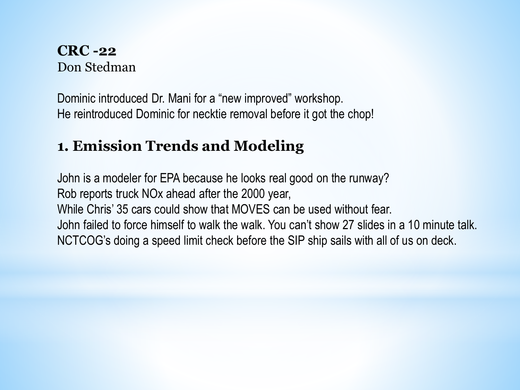#### **CRC -22** Don Stedman

Dominic introduced Dr. Mani for a "new improved" workshop. He reintroduced Dominic for necktie removal before it got the chop!

# **1. Emission Trends and Modeling**

John is a modeler for EPA because he looks real good on the runway? Rob reports truck NOx ahead after the 2000 year, While Chris' 35 cars could show that MOVES can be used without fear. John failed to force himself to walk the walk. You can't show 27 slides in a 10 minute talk. NCTCOG's doing a speed limit check before the SIP ship sails with all of us on deck.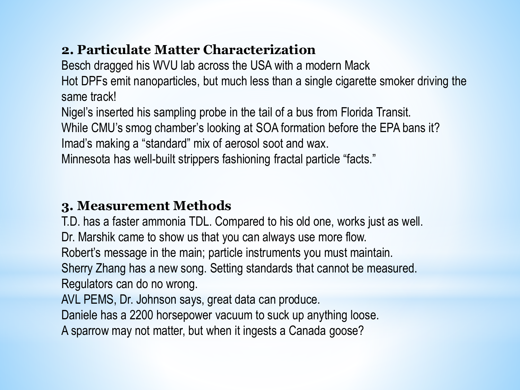#### **2. Particulate Matter Characterization**

Besch dragged his WVU lab across the USA with a modern Mack

Hot DPFs emit nanoparticles, but much less than a single cigarette smoker driving the same track!

Nigel's inserted his sampling probe in the tail of a bus from Florida Transit. While CMU's smog chamber's looking at SOA formation before the EPA bans it? Imad's making a "standard" mix of aerosol soot and wax.

Minnesota has well-built strippers fashioning fractal particle "facts."

## **3. Measurement Methods**

T.D. has a faster ammonia TDL. Compared to his old one, works just as well. Dr. Marshik came to show us that you can always use more flow. Robert's message in the main; particle instruments you must maintain. Sherry Zhang has a new song. Setting standards that cannot be measured. Regulators can do no wrong.

AVL PEMS, Dr. Johnson says, great data can produce.

Daniele has a 2200 horsepower vacuum to suck up anything loose.

A sparrow may not matter, but when it ingests a Canada goose?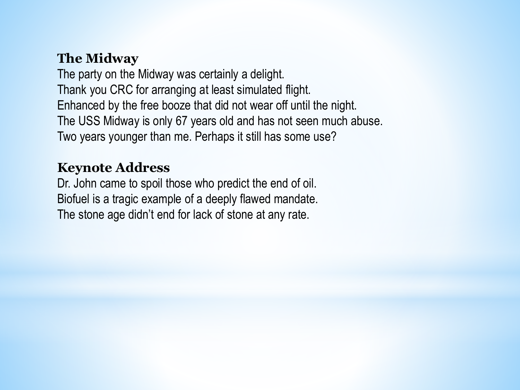#### **The Midway**

The party on the Midway was certainly a delight. Thank you CRC for arranging at least simulated flight. Enhanced by the free booze that did not wear off until the night. The USS Midway is only 67 years old and has not seen much abuse. Two years younger than me. Perhaps it still has some use?

#### **Keynote Address**

Dr. John came to spoil those who predict the end of oil. Biofuel is a tragic example of a deeply flawed mandate. The stone age didn't end for lack of stone at any rate.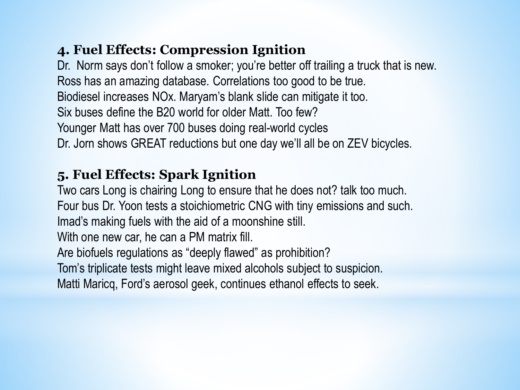### **4. Fuel Effects: Compression Ignition**

Dr. Norm says don't follow a smoker; you're better off trailing a truck that is new. Ross has an amazing database. Correlations too good to be true. Biodiesel increases NOx. Maryam's blank slide can mitigate it too. Six buses define the B20 world for older Matt. Too few? Younger Matt has over 700 buses doing real-world cycles Dr. Jorn shows GREAT reductions but one day we'll all be on ZEV bicycles.

# **5. Fuel Effects: Spark Ignition**

Two cars Long is chairing Long to ensure that he does not? talk too much. Four bus Dr. Yoon tests a stoichiometric CNG with tiny emissions and such. Imad's making fuels with the aid of a moonshine still.

With one new car, he can a PM matrix fill.

Are biofuels regulations as "deeply flawed" as prohibition?

Tom's triplicate tests might leave mixed alcohols subject to suspicion.

Matti Maricq, Ford's aerosol geek, continues ethanol effects to seek.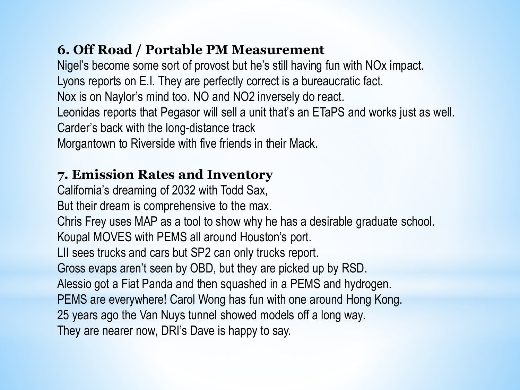## **6. Off Road / Portable PM Measurement**

Nigel's become some sort of provost but he's still having fun with NOx impact. Lyons reports on E.I. They are perfectly correct is a bureaucratic fact. Nox is on Naylor's mind too. NO and NO2 inversely do react. Leonidas reports that Pegasor will sell a unit that's an ETaPS and works just as well. Carder's back with the long-distance track

Morgantown to Riverside with five friends in their Mack.

# **7. Emission Rates and Inventory**

California's dreaming of 2032 with Todd Sax,

But their dream is comprehensive to the max.

Chris Frey uses MAP as a tool to show why he has a desirable graduate school.

Koupal MOVES with PEMS all around Houston's port.

LII sees trucks and cars but SP2 can only trucks report.

Gross evaps aren't seen by OBD, but they are picked up by RSD.

Alessio got a Fiat Panda and then squashed in a PEMS and hydrogen.

PEMS are everywhere! Carol Wong has fun with one around Hong Kong.

25 years ago the Van Nuys tunnel showed models off a long way.

They are nearer now, DRI's Dave is happy to say.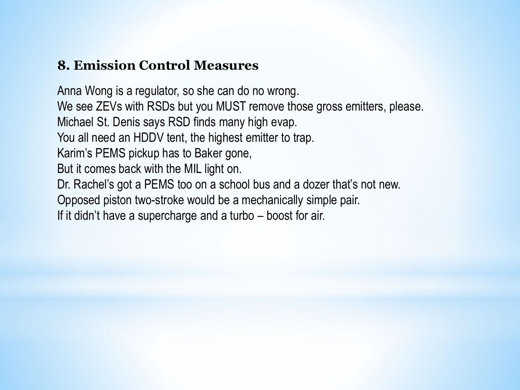#### **8. Emission Control Measures**

Anna Wong is a regulator, so she can do no wrong. We see ZEVs with RSDs but you MUST remove those gross emitters, please. Michael St. Denis says RSD finds many high evap. You all need an HDDV tent, the highest emitter to trap. Karim's PEMS pickup has to Baker gone, But it comes back with the MIL light on. Dr. Rachel's got a PEMS too on a school bus and a dozer that's not new. Opposed piston two-stroke would be a mechanically simple pair. If it didn't have a supercharge and a turbo – boost for air.